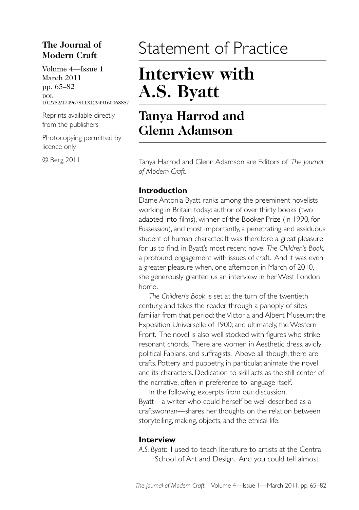### The Journal of **Modern Craft**

Volume 4-Issue 1 March 2011 pp. 65-82 DOI: 10.2752/174967811X12949160068857

Reprints available directly from the publishers

Photocopying permitted by licence only

© Berg 2011

# Statement of Practice

## Interview with A.S. Byatt

## **Tanya Harrod and Glenn Adamson**

Tanya Harrod and Glenn Adamson are Editors of The Journal of Modern Craft.

### **Introduction**

Dame Antonia Byatt ranks among the preeminent novelists working in Britain today: author of over thirty books (two adapted into films), winner of the Booker Prize (in 1990, for Possession), and most importantly, a penetrating and assiduous student of human character. It was therefore a great pleasure for us to find, in Byatt's most recent novel The Children's Book, a profound engagement with issues of craft. And it was even a greater pleasure when, one afternoon in March of 2010, she generously granted us an interview in her West London home.

The Children's Book is set at the turn of the twentieth century, and takes the reader through a panoply of sites familiar from that period: the Victoria and Albert Museum; the Exposition Universelle of 1900; and ultimately, the Western Front. The novel is also well stocked with figures who strike resonant chords. There are women in Aesthetic dress, avidly political Fabians, and suffragists. Above all, though, there are crafts. Pottery and puppetry, in particular, animate the novel and its characters. Dedication to skill acts as the still center of the narrative, often in preference to language itself.

In the following excerpts from our discussion, Byatt-a writer who could herself be well described as a craftswoman—shares her thoughts on the relation between storytelling, making, objects, and the ethical life.

### **Interview**

A.S. Bvatt: I used to teach literature to artists at the Central School of Art and Design. And you could tell almost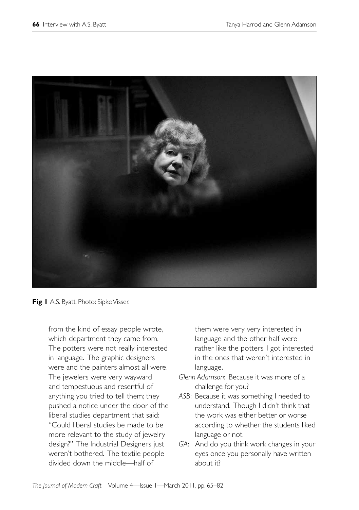

Fig I A.S. Byatt. Photo: Sipke Visser.

from the kind of essay people wrote, which department they came from. The potters were not really interested in language. The graphic designers were and the painters almost all were. The jewelers were very wayward and tempestuous and resentful of anything you tried to tell them; they pushed a notice under the door of the liberal studies department that said: "Could liberal studies be made to be more relevant to the study of jewelry design?" The Industrial Designers just weren't bothered. The textile people divided down the middle-half of

them were very very interested in language and the other half were rather like the potters. I got interested in the ones that weren't interested in language.

- Glenn Adamson: Because it was more of a challenge for you?
- ASB: Because it was something I needed to understand. Though I didn't think that the work was either better or worse according to whether the students liked language or not.
- GA: And do you think work changes in your eyes once you personally have written  $about$  it?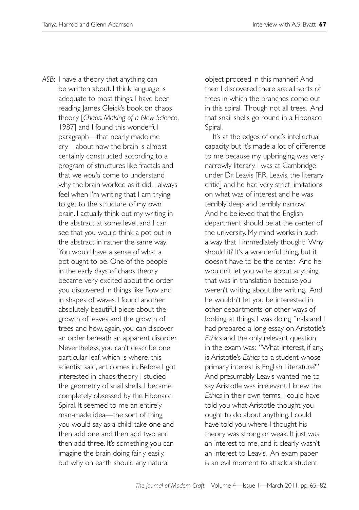- ASB: I have a theory that anything can be written about. I think language is adequate to most things. I have been reading James Gleick's book on chaos theory [Chaos: Making of a New Science, 1987] and I found this wonderful paragraph-that nearly made me cry-about how the brain is almost certainly constructed according to a program of structures like fractals and that we would come to understand why the brain worked as it did. I always feel when I'm writing that I am trying to get to the structure of my own brain. I actually think out my writing in the abstract at some level, and I can see that you would think a pot out in the abstract in rather the same way. You would have a sense of what a pot ought to be. One of the people in the early days of chaos theory became very excited about the order you discovered in things like flow and in shapes of waves. I found another absolutely beautiful piece about the growth of leaves and the growth of trees and how, again, you can discover an order beneath an apparent disorder. Nevertheless, you can't describe one particular leaf, which is where, this scientist said, art comes in. Before I got interested in chaos theory I studied the geometry of snail shells. I became completely obsessed by the Fibonacci Spiral. It seemed to me an entirely man-made idea-the sort of thing you would say as a child: take one and then add one and then add two and then add three. It's something you can imagine the brain doing fairly easily, but why on earth should any natural
- object proceed in this manner? And then I discovered there are all sorts of trees in which the branches come out in this spiral. Though not all trees. And that snail shells go round in a Fibonacci Spiral.

It's at the edges of one's intellectual capacity, but it's made a lot of difference to me because my upbringing was very narrowly literary. I was at Cambridge under Dr. Leavis [F.R. Leavis, the literary critic] and he had very strict limitations on what was of interest and he was terribly deep and terribly narrow. And he believed that the English department should be at the center of the university. My mind works in such a way that I immediately thought: Why should it? It's a wonderful thing, but it doesn't have to be the center. And he wouldn't let you write about anything that was in translation because you weren't writing about the writing. And he wouldn't let you be interested in other departments or other ways of looking at things. I was doing finals and I had prepared a long essay on Aristotle's Ethics and the only relevant question in the exam was: "What interest, if any, is Aristotle's Ethics to a student whose primary interest is English Literature?" And presumably Leavis wanted me to say Aristotle was irrelevant. I knew the Ethics in their own terms. I could have told you what Aristotle thought you ought to do about anything. I could have told you where I thought his theory was strong or weak. It just was an interest to me, and it clearly wasn't an interest to Leavis. An exam paper is an evil moment to attack a student.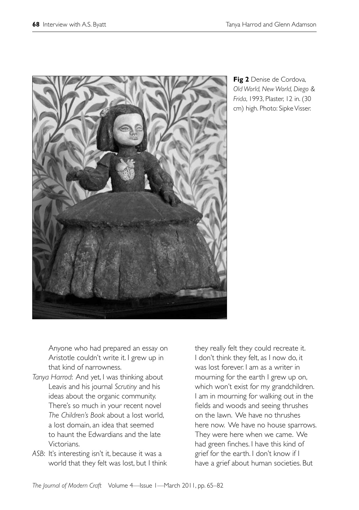

Fig 2 Denise de Cordova, Old World, New World, Diego & Frida, 1993, Plaster, 12 in. (30 cm) high. Photo: Sipke Visser.

Anyone who had prepared an essay on Aristotle couldn't write it. I grew up in that kind of narrowness.

- Tanya Harrod: And yet, I was thinking about Leavis and his journal Scrutiny and his ideas about the organic community. There's so much in your recent novel The Children's Book about a lost world, a lost domain, an idea that seemed to haunt the Edwardians and the late Victorians.
- ASB: It's interesting isn't it, because it was a world that they felt was lost, but I think

they really felt they could recreate it. I don't think they felt, as I now do, it was lost forever. I am as a writer in mourning for the earth I grew up on, which won't exist for my grandchildren. I am in mourning for walking out in the fields and woods and seeing thrushes on the lawn. We have no thrushes here now. We have no house sparrows. They were here when we came. We had green finches. I have this kind of grief for the earth. I don't know if I have a grief about human societies. But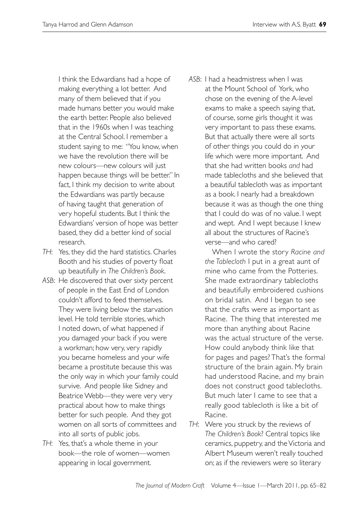I think the Edwardians had a hope of making everything a lot better. And many of them believed that if you made humans better you would make the earth better. People also believed that in the 1960s when I was teaching at the Central School. I remember a student saying to me: "You know, when we have the revolution there will be new colours-new colours will just happen because things will be better." In fact, I think my decision to write about the Edwardians was partly because of having taught that generation of very hopeful students. But I think the Edwardians' version of hope was better based, they did a better kind of social research.

- TH: Yes, they did the hard statistics. Charles Booth and his studies of poverty float up beautifully in The Children's Book.
- ASB: He discovered that over sixty percent of people in the East End of London couldn't afford to feed themselves. They were living below the starvation level. He told terrible stories, which I noted down, of what happened if you damaged your back if you were a workman; how very, very rapidly you became homeless and your wife became a prostitute because this was the only way in which your family could survive. And people like Sidney and Beatrice Webb-they were very very practical about how to make things better for such people. And they got women on all sorts of committees and into all sorts of public jobs.
- TH: Yes, that's a whole theme in your book-the role of women-women appearing in local government.

ASB: I had a headmistress when I was at the Mount School of York, who chose on the evening of the A-level exams to make a speech saying that, of course, some girls thought it was very important to pass these exams. But that actually there were all sorts of other things you could do in your life which were more important. And that she had written books and had made tablecloths and she believed that a beautiful tablecloth was as important as a book. I nearly had a breakdown because it was as though the one thing that I could do was of no value. I wept and wept. And I wept because I knew all about the structures of Racine's verse-and who cared?

> When I wrote the story Racine and the Tablecloth I put in a great aunt of mine who came from the Potteries. She made extraordinary tablecloths and beautifully embroidered cushions on bridal satin. And I began to see that the crafts were as important as Racine. The thing that interested me more than anything about Racine was the actual structure of the verse. How could anybody think like that for pages and pages? That's the formal structure of the brain again. My brain had understood Racine, and my brain does not construct good tablecloths. But much later I came to see that a really good tablecloth is like a bit of Racine.

TH: Were you struck by the reviews of The Children's Book? Central topics like ceramics, puppetry, and the Victoria and Albert Museum weren't really touched on; as if the reviewers were so literary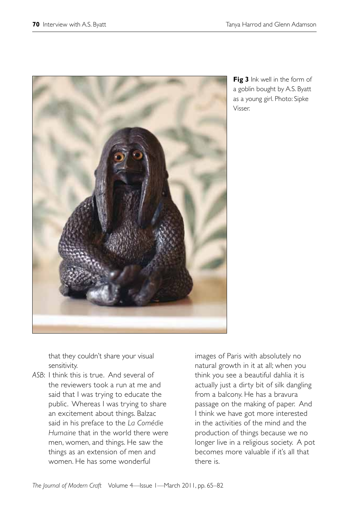

Fig 3 Ink well in the form of a goblin bought by A.S. Byatt as a young girl. Photo: Sipke **Visser** 

that they couldn't share your visual sensitivity.

ASB: I think this is true. And several of the reviewers took a run at me and said that I was trying to educate the public. Whereas I was trying to share an excitement about things. Balzac said in his preface to the La Comédie Humaine that in the world there were men, women, and things. He saw the things as an extension of men and women. He has some wonderful

images of Paris with absolutely no natural growth in it at all; when you think you see a beautiful dahlia it is actually just a dirty bit of silk dangling from a balcony. He has a bravura passage on the making of paper. And I think we have got more interested in the activities of the mind and the production of things because we no longer live in a religious society. A pot becomes more valuable if it's all that there is.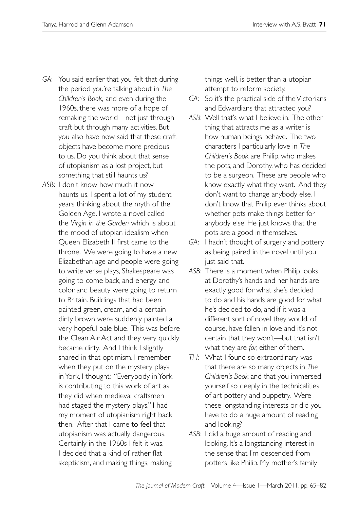- GA: You said earlier that you felt that during the period you're talking about in The Children's Book, and even during the 1960s, there was more of a hope of remaking the world-not just through craft but through many activities. But you also have now said that these craft objects have become more precious to us. Do you think about that sense of utopianism as a lost project, but something that still haunts us?
- ASB: I don't know how much it now haunts us. I spent a lot of my student years thinking about the myth of the Golden Age. I wrote a novel called the Virgin in the Garden which is about the mood of utopian idealism when Queen Elizabeth II first came to the throne. We were going to have a new Elizabethan age and people were going to write verse plays, Shakespeare was going to come back, and energy and color and beauty were going to return to Britain. Buildings that had been painted green, cream, and a certain dirty brown were suddenly painted a very hopeful pale blue. This was before the Clean Air Act and they very quickly became dirty. And I think I slightly shared in that optimism. I remember when they put on the mystery plays in York, I thought: "Everybody in York is contributing to this work of art as they did when medieval craftsmen had staged the mystery plays." I had my moment of utopianism right back then. After that I came to feel that utopianism was actually dangerous. Certainly in the 1960s I felt it was. I decided that a kind of rather flat skepticism, and making things, making

things well, is better than a utopian attempt to reform society.

- GA: So it's the practical side of the Victorians and Edwardians that attracted you?
- ASB: Well that's what I believe in. The other thing that attracts me as a writer is how human beings behave. The two characters I particularly love in The Children's Book are Philip, who makes the pots, and Dorothy, who has decided to be a surgeon. These are people who know exactly what they want. And they don't want to change anybody else. I don't know that Philip ever thinks about whether pots make things better for anybody else. He just knows that the pots are a good in themselves.
- GA: I hadn't thought of surgery and pottery as being paired in the novel until you just said that.
- ASB: There is a moment when Philip looks at Dorothy's hands and her hands are exactly good for what she's decided to do and his hands are good for what he's decided to do, and if it was a different sort of novel they would, of course, have fallen in love and it's not certain that they won't-but that isn't what they are for, either of them.
- TH: What I found so extraordinary was that there are so many objects in The Children's Book and that you immersed yourself so deeply in the technicalities of art pottery and puppetry. Were these longstanding interests or did you have to do a huge amount of reading and looking?
- ASB: I did a huge amount of reading and looking. It's a longstanding interest in the sense that I'm descended from potters like Philip. My mother's family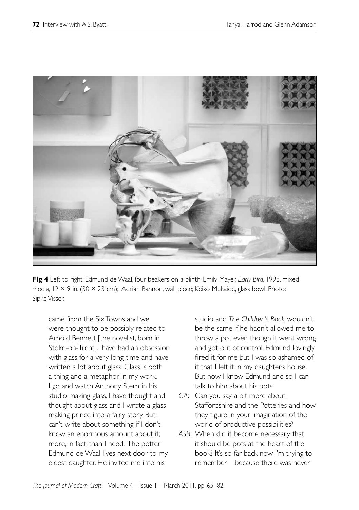

Fig 4 Left to right: Edmund de Waal, four beakers on a plinth; Emily Mayer, Early Bird, 1998, mixed media, 12 × 9 in. (30 × 23 cm); Adrian Bannon, wall piece; Keiko Mukaide, glass bowl. Photo: Sipke Visser.

came from the Six Towns and we were thought to be possibly related to Arnold Bennett [the novelist, born in Stoke-on-Trent].I have had an obsession with glass for a very long time and have written a lot about glass. Glass is both a thing and a metaphor in my work. I go and watch Anthony Stern in his studio making glass. I have thought and thought about glass and I wrote a glassmaking prince into a fairy story. But I can't write about something if I don't know an enormous amount about it: more, in fact, than I need. The potter Edmund de Waal lives next door to my eldest daughter. He invited me into his

studio and The Children's Book wouldn't be the same if he hadn't allowed me to throw a pot even though it went wrong and got out of control. Edmund lovingly fired it for me but I was so ashamed of it that I left it in my daughter's house. But now I know Edmund and so I can talk to him about his pots.

- GA: Can you say a bit more about Staffordshire and the Potteries and how they figure in your imagination of the world of productive possibilities?
- ASB: When did it become necessary that it should be pots at the heart of the book? It's so far back now I'm trying to remember-because there was never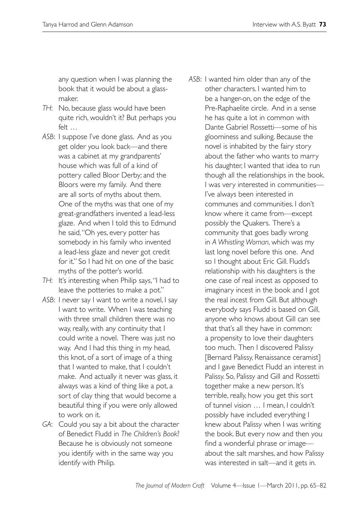any question when I was planning the book that it would be about a glassmaker.

- TH: No, because glass would have been quite rich, wouldn't it? But perhaps you felt  $\dots$
- ASB: I suppose I've done glass. And as you get older you look back-and there was a cabinet at my grandparents' house which was full of a kind of pottery called Bloor Derby; and the Bloors were my family. And there are all sorts of myths about them. One of the myths was that one of my great-grandfathers invented a lead-less glaze. And when I told this to Edmund he said, "Oh yes, every potter has somebody in his family who invented a lead-less glaze and never got credit for it." So I had hit on one of the basic myths of the potter's world.
- TH: It's interesting when Philip says, "I had to leave the potteries to make a pot."
- ASB: I never say I want to write a novel, I say I want to write. When I was teaching with three small children there was no way, really, with any continuity that I could write a novel. There was just no way. And I had this thing in my head, this knot, of a sort of image of a thing that I wanted to make, that I couldn't make. And actually it never was glass, it always was a kind of thing like a pot, a sort of clay thing that would become a beautiful thing if you were only allowed to work on it.
- GA: Could you say a bit about the character of Benedict Fludd in The Children's Book? Because he is obviously not someone you identify with in the same way you identify with Philip.
- ASB: I wanted him older than any of the other characters I wanted him to be a hanger-on, on the edge of the Pre-Raphaelite circle. And in a sense he has quite a lot in common with Dante Gabriel Rossetti-some of his gloominess and sulking. Because the novel is inhabited by the fairy story about the father who wants to marry his daughter, I wanted that idea to run though all the relationships in the book. I was very interested in communities-I've always been interested in communes and communities. I don't know where it came from—except possibly the Quakers. There's a community that goes badly wrong in A Whistling Woman, which was my last long novel before this one. And so I thought about Eric Gill. Fludd's relationship with his daughters is the one case of real incest as opposed to imaginary incest in the book and I got the real incest from Gill. But although everybody says Fludd is based on Gill, anyone who knows about Gill can see that that's all they have in common: a propensity to love their daughters too much. Then I discovered Palissy [Bernard Palissy, Renaissance ceramist] and I gave Benedict Fludd an interest in Palissy. So, Palissy and Gill and Rossetti together make a new person. It's terrible, really, how you get this sort of tunnel vision ... I mean. I couldn't possibly have included everything I knew about Palissy when I was writing the book. But every now and then you find a wonderful phrase or imageabout the salt marshes, and how Palissy was interested in salt-and it gets in.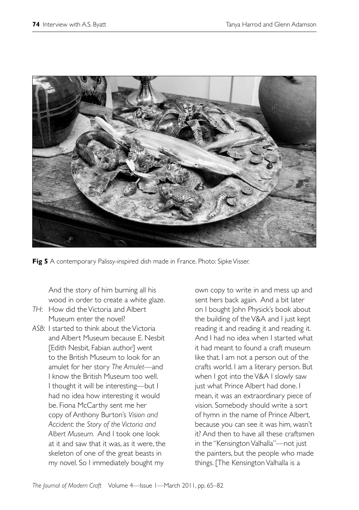

Fig 5 A contemporary Palissy-inspired dish made in France. Photo: Sipke Visser.

And the story of him burning all his wood in order to create a white glaze.

- TH: How did the Victoria and Albert Museum enter the novel?
- ASB: I started to think about the Victoria and Albert Museum because E. Nesbit [Edith Nesbit, Fabian author] went to the British Museum to look for an amulet for her story The Amulet-and I know the British Museum too well. I thought it will be interesting-but I had no idea how interesting it would be. Fiona McCarthy sent me her copy of Anthony Burton's Vision and Accident: the Story of the Victoria and Albert Museum. And I took one look at it and saw that it was, as it were, the skeleton of one of the great beasts in my novel. So I immediately bought my

own copy to write in and mess up and sent hers back again. And a bit later on I bought John Physick's book about the building of the V&A and I just kept reading it and reading it and reading it. And I had no idea when I started what it had meant to found a craft museum like that. I am not a person out of the crafts world. I am a literary person. But when I got into the V&A I slowly saw just what Prince Albert had done. I mean, it was an extraordinary piece of vision. Somebody should write a sort of hymn in the name of Prince Albert, because you can see it was him, wasn't it? And then to have all these craftsmen in the "Kensington Valhalla"-not just the painters, but the people who made things. The Kensington Valhalla is a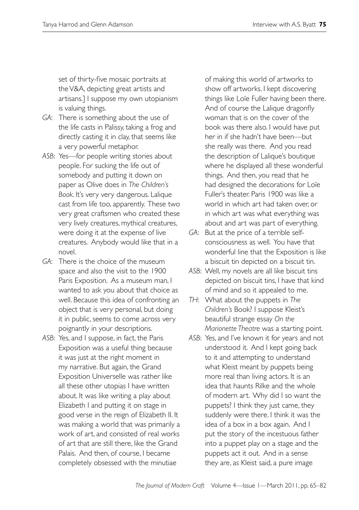set of thirty-five mosaic portraits at the V&A, depicting great artists and artisans.] I suppose my own utopianism is valuing things.

- GA: There is something about the use of the life casts in Palissy, taking a frog and directly casting it in clay, that seems like a very powerful metaphor.
- ASB: Yes-for people writing stories about people. For sucking the life out of somebody and putting it down on paper as Olive does in The Children's Book. It's very very dangerous. Lalique cast from life too, apparently. These two very great craftsmen who created these very lively creatures, mythical creatures, were doing it at the expense of live creatures. Anybody would like that in a novel
- GA: There is the choice of the museum space and also the visit to the 1900 Paris Exposition. As a museum man, I wanted to ask you about that choice as well. Because this idea of confronting an object that is very personal, but doing it in public, seems to come across very poignantly in your descriptions.
- ASB: Yes, and I suppose, in fact, the Paris Exposition was a useful thing because it was just at the right moment in my narrative. But again, the Grand Exposition Universelle was rather like all these other utopias I have written about. It was like writing a play about Elizabeth I and putting it on stage in good verse in the reign of Elizabeth II. It was making a world that was primarily a work of art, and consisted of real works of art that are still there, like the Grand Palais. And then, of course, I became completely obsessed with the minutiae

of making this world of artworks to show off artworks. I kept discovering things like Loïe Fuller having been there. And of course the Laligue dragonfly woman that is on the cover of the book was there also. I would have put her in if she hadn't have been—but she really was there. And you read the description of Lalique's boutique where he displayed all these wonderful things. And then, you read that he had designed the decorations for Loïe Fuller's theater Paris 1900 was like a world in which art had taken over or in which art was what everything was about and art was part of everything.

- GA: But at the price of a terrible selfconsciousness as well. You have that wonderful line that the Exposition is like a biscuit tin depicted on a biscuit tin.
- ASB: Well, my novels are all like biscuit tins depicted on biscuit tins, I have that kind of mind and so it appealed to me.
- TH: What about the puppets in The Children's Book? I suppose Kleist's beautiful strange essay On the Marionette Theatre was a starting point.
- ASB: Yes, and I've known it for years and not understood it. And I kept going back to it and attempting to understand what Kleist meant by puppets being more real than living actors. It is an idea that haunts Rilke and the whole of modern art. Why did I so want the puppets? I think they just came, they suddenly were there. I think it was the idea of a box in a box again. And I put the story of the incestuous father into a puppet play on a stage and the puppets act it out. And in a sense they are, as Kleist said, a pure image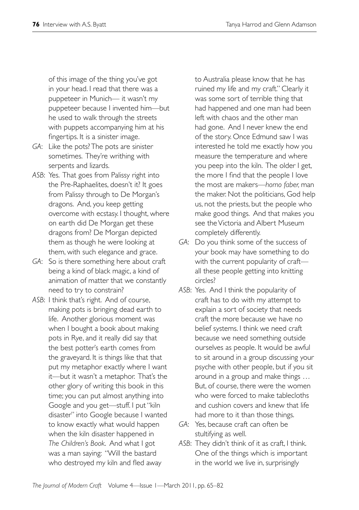of this image of the thing you've got in your head. I read that there was a puppeteer in Munich- it wasn't my puppeteer because I invented him-but he used to walk through the streets with puppets accompanying him at his fingertips. It is a sinister image.

- GA: Like the pots? The pots are sinister sometimes. They're writhing with serpents and lizards.
- ASB: Yes. That goes from Palissy right into the Pre-Raphaelites, doesn't it? It goes from Palissy through to De Morgan's dragons. And, you keep getting overcome with ecstasy. I thought, where on earth did De Morgan get these dragons from? De Morgan depicted them as though he were looking at them, with such elegance and grace.
- GA: So is there something here about craft being a kind of black magic, a kind of animation of matter that we constantly need to try to constrain?
- ASB: I think that's right. And of course, making pots is bringing dead earth to life. Another glorious moment was when I bought a book about making pots in Rye, and it really did say that the best potter's earth comes from the graveyard. It is things like that that put my metaphor exactly where I want it-but it wasn't a metaphor. That's the other glory of writing this book in this time; you can put almost anything into Google and you get-stuff. I put "kiln disaster" into Google because I wanted to know exactly what would happen when the kiln disaster happened in The Children's Book. And what I got was a man saying: "Will the bastard who destroyed my kiln and fled away

to Australia please know that he has ruined my life and my craft." Clearly it was some sort of terrible thing that had happened and one man had been left with chaos and the other man had gone. And I never knew the end of the story. Once Edmund saw I was interested he told me exactly how you measure the temperature and where you peep into the kiln. The older I get, the more I find that the people I love the most are makers-homo faber, man the maker. Not the politicians, God help us, not the priests, but the people who make good things. And that makes you see the Victoria and Albert Museum completely differently.

- GA: Do you think some of the success of your book may have something to do with the current popularity of craftall these people getting into knitting circles?
- ASB: Yes. And I think the popularity of craft has to do with my attempt to explain a sort of society that needs craft the more because we have no belief systems. I think we need craft because we need something outside ourselves as people. It would be awful to sit around in a group discussing your psyche with other people, but if you sit around in a group and make things ... But, of course, there were the women who were forced to make tablecloths and cushion covers and knew that life had more to it than those things.
- GA: Yes, because craft can often be stultifying as well.
- ASB: They didn't think of it as craft, I think. One of the things which is important in the world we live in, surprisingly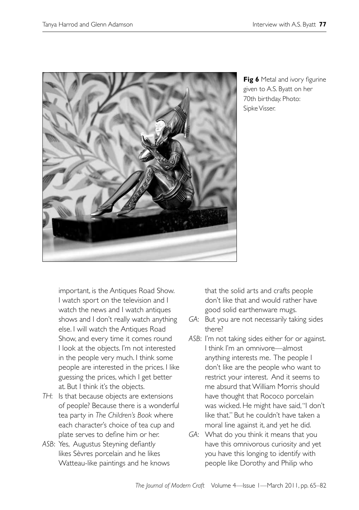

Fig 6 Metal and ivory figurine given to A.S. Byatt on her 70th birthday. Photo: Sipke Visser.

important, is the Antiques Road Show. I watch sport on the television and I watch the news and I watch antiques shows and I don't really watch anything else. I will watch the Antiques Road Show, and every time it comes round I look at the objects. I'm not interested in the people very much. I think some people are interested in the prices. I like guessing the prices, which I get better at. But I think it's the objects.

- TH: Is that because objects are extensions of people? Because there is a wonderful tea party in The Children's Book where each character's choice of tea cup and plate serves to define him or her.
- ASB: Yes, Augustus Steyning defiantly likes Sèvres porcelain and he likes Watteau-like paintings and he knows

that the solid arts and crafts people don't like that and would rather have good solid earthenware mugs.

- GA: But you are not necessarily taking sides there?
- ASB: I'm not taking sides either for or against. I think I'm an omnivore—almost anything interests me. The people I don't like are the people who want to restrict your interest. And it seems to me absurd that William Morris should have thought that Rococo porcelain was wicked. He might have said, "I don't like that." But he couldn't have taken a moral line against it, and yet he did.
- GA: What do you think it means that you have this omnivorous curiosity and yet you have this longing to identify with people like Dorothy and Philip who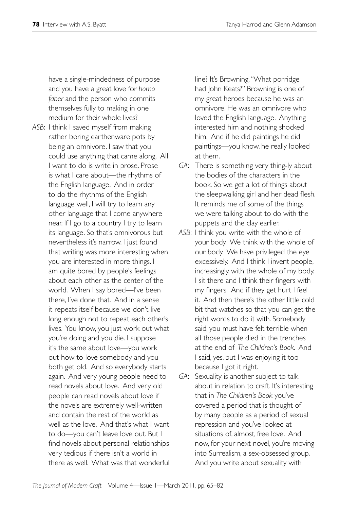have a single-mindedness of purpose and you have a great love for homo faber and the person who commits themselves fully to making in one medium for their whole lives?

ASB: I think I saved myself from making rather boring earthenware pots by being an omnivore. I saw that you could use anything that came along. All I want to do is write in prose. Prose is what I care about—the rhythms of the English language. And in order to do the rhythms of the English language well, I will try to learn any other language that I come anywhere near. If I go to a country I try to learn its language. So that's omnivorous but nevertheless it's narrow. I just found that writing was more interesting when you are interested in more things. I am quite bored by people's feelings about each other as the center of the world. When I say bored—I've been there, I've done that. And in a sense it repeats itself because we don't live long enough not to repeat each other's lives. You know, you just work out what you're doing and you die. I suppose it's the same about love-you work out how to love somebody and you both get old. And so everybody starts again. And very young people need to read novels about love. And very old people can read novels about love if the novels are extremely well-written and contain the rest of the world as well as the love. And that's what I want to do-you can't leave love out. But I find novels about personal relationships very tedious if there isn't a world in there as well. What was that wonderful line? It's Browning. "What porridge had John Keats?" Browning is one of my great heroes because he was an omnivore. He was an omnivore who loved the English language. Anything interested him and nothing shocked him. And if he did paintings he did paintings-you know, he really looked at them.

- GA: There is something very thing-ly about the bodies of the characters in the book. So we get a lot of things about the sleepwalking girl and her dead flesh. It reminds me of some of the things we were talking about to do with the puppets and the clay earlier.
- ASB: I think you write with the whole of your body. We think with the whole of our body. We have privileged the eye excessively. And I think I invent people, increasingly, with the whole of my body. I sit there and I think their fingers with my fingers. And if they get hurt I feel it. And then there's the other little cold bit that watches so that you can get the right words to do it with. Somebody said, you must have felt terrible when all those people died in the trenches at the end of The Children's Book. And I said, yes, but I was enjoying it too because I got it right.
- GA: Sexuality is another subject to talk about in relation to craft. It's interesting that in The Children's Book you've covered a period that is thought of by many people as a period of sexual repression and you've looked at situations of almost free love. And now, for your next novel, you're moving into Surrealism, a sex-obsessed group. And you write about sexuality with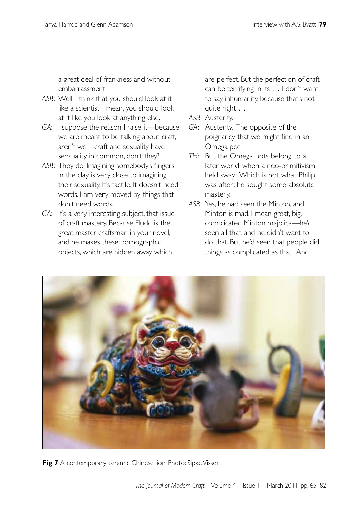a great deal of frankness and without embarrassment.

- ASB: Well, I think that you should look at it like a scientist. I mean, you should look at it like you look at anything else.
- GA: I suppose the reason I raise it-because we are meant to be talking about craft, aren't we-craft and sexuality have sensuality in common, don't they?
- ASB: They do. Imagining somebody's fingers in the clay is very close to imagining their sexuality. It's tactile. It doesn't need words. I am very moved by things that don't need words.
- GA: It's a very interesting subject, that issue of craft mastery. Because Fludd is the great master craftsman in your novel, and he makes these pornographic objects, which are hidden away, which

are perfect. But the perfection of craft can be terrifying in its ... I don't want to say inhumanity, because that's not quite right ...

- ASB: Austerity.
- GA: Austerity. The opposite of the poignancy that we might find in an Omega pot.
- TH: But the Omega pots belong to a later world, when a neo-primitivism held sway. Which is not what Philip was after; he sought some absolute mastery.
- ASB: Yes, he had seen the Minton, and Minton is mad. I mean great, big, complicated Minton majolica-he'd seen all that, and he didn't want to do that. But he'd seen that people did things as complicated as that. And



Fig 7 A contemporary ceramic Chinese lion. Photo: Sipke Visser.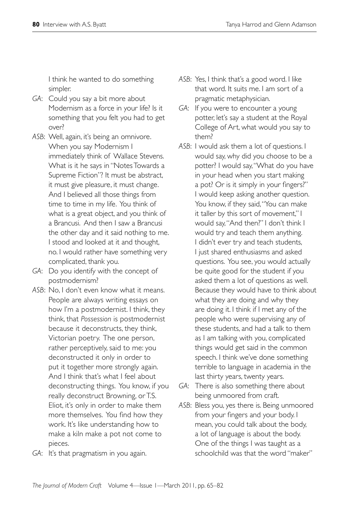I think he wanted to do something simpler.

- GA: Could you say a bit more about Modernism as a force in your life? Is it something that you felt you had to get over?
- ASB: Well, again, it's being an omnivore. When you say Modernism I immediately think of Wallace Stevens. What is it he says in "Notes Towards a Supreme Fiction"? It must be abstract, it must give pleasure, it must change. And I believed all those things from time to time in my life. You think of what is a great object, and you think of a Brancusi. And then I saw a Brancusi the other day and it said nothing to me. I stood and looked at it and thought, no. I would rather have something very complicated, thank you.
- GA: Do you identify with the concept of postmodernism?
- ASB: No. I don't even know what it means. People are always writing essays on how I'm a postmodernist. I think, they think, that Possession is postmodernist because it deconstructs, they think, Victorian poetry. The one person, rather perceptively, said to me: you deconstructed it only in order to put it together more strongly again. And I think that's what I feel about deconstructing things. You know, if you really deconstruct Browning, or T.S. Eliot, it's only in order to make them more themselves. You find how they work. It's like understanding how to make a kiln make a pot not come to pieces.
- GA: It's that pragmatism in you again.
- ASB: Yes, I think that's a good word. I like that word. It suits me. I am sort of a pragmatic metaphysician.
- GA: If you were to encounter a young potter, let's say a student at the Royal College of Art, what would you say to them?
- ASB: I would ask them a lot of questions. I would say, why did you choose to be a potter? I would say, "What do you have in your head when you start making a pot? Or is it simply in your fingers?" I would keep asking another question. You know, if they said, "You can make it taller by this sort of movement," I would say, "And then?" I don't think I would try and teach them anything. I didn't ever try and teach students, I just shared enthusiasms and asked questions. You see, you would actually be quite good for the student if you asked them a lot of questions as well. Because they would have to think about what they are doing and why they are doing it. I think if I met any of the people who were supervising any of these students, and had a talk to them as I am talking with you, complicated things would get said in the common speech. I think we've done something terrible to language in academia in the last thirty years, twenty years.
- GA: There is also something there about being unmoored from craft.
- ASB: Bless you, yes there is. Being unmoored from your fingers and your body. I mean, you could talk about the body, a lot of language is about the body. One of the things I was taught as a schoolchild was that the word "maker"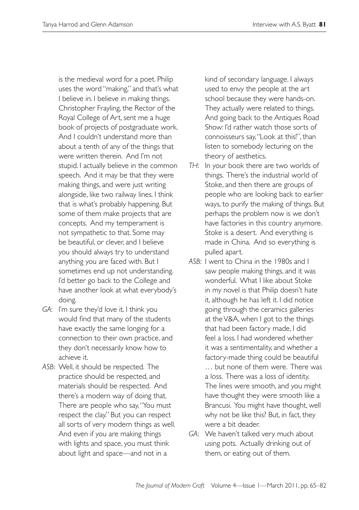is the medieval word for a poet. Philip uses the word "making," and that's what I believe in. I believe in making things. Christopher Frayling, the Rector of the Royal College of Art, sent me a huge book of projects of postgraduate work. And I couldn't understand more than about a tenth of any of the things that were written therein. And I'm not stupid. I actually believe in the common speech. And it may be that they were making things, and were just writing alongside, like two railway lines. I think that is what's probably happening. But some of them make projects that are concepts. And my temperament is not sympathetic to that. Some may be beautiful, or clever, and I believe you should always try to understand anything you are faced with. But I sometimes end up not understanding. I'd better go back to the College and have another look at what everybody's doing.

- GA: I'm sure they'd love it. I think you would find that many of the students have exactly the same longing for a connection to their own practice, and they don't necessarily know how to achieve it.
- ASB: Well, it should be respected. The practice should be respected, and materials should be respected. And there's a modern way of doing that. There are people who say, "You must respect the clay." But you can respect all sorts of very modern things as well. And even if you are making things with lights and space, you must think about light and space-and not in a

kind of secondary language. I always used to envy the people at the art school because they were hands-on. They actually were related to things. And going back to the Antiques Road Show: I'd rather watch those sorts of connoisseurs say, "Look at this!", than listen to somebody lecturing on the theory of aesthetics.

- TH: In your book there are two worlds of things. There's the industrial world of Stoke, and then there are groups of people who are looking back to earlier ways, to purify the making of things. But perhaps the problem now is we don't have factories in this country anymore. Stoke is a desert. And everything is made in China. And so everything is pulled apart.
- ASB: I went to China in the 1980s and I saw people making things, and it was wonderful. What I like about Stoke in my novel is that Philip doesn't hate it, although he has left it. I did notice going through the ceramics galleries at the V&A, when I got to the things that had been factory made, I did feel a loss. I had wondered whether it was a sentimentality, and whether a factory-made thing could be beautiful ... but none of them were. There was a loss. There was a loss of identity. The lines were smooth, and you might have thought they were smooth like a Brancusi. You might have thought, well why not be like this? But, in fact, they were a bit deader.
- GA: We haven't talked very much about using pots. Actually drinking out of them, or eating out of them.